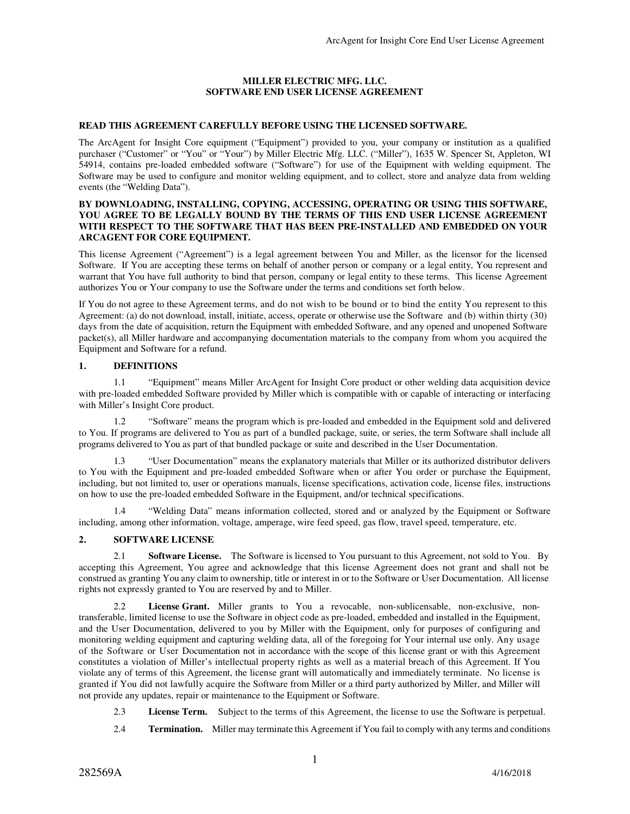## **MILLER ELECTRIC MFG. LLC. SOFTWARE END USER LICENSE AGREEMENT**

### **READ THIS AGREEMENT CAREFULLY BEFORE USING THE LICENSED SOFTWARE.**

The ArcAgent for Insight Core equipment ("Equipment") provided to you, your company or institution as a qualified purchaser ("Customer" or "You" or "Your") by Miller Electric Mfg. LLC. ("Miller"), 1635 W. Spencer St, Appleton, WI 54914, contains pre-loaded embedded software ("Software") for use of the Equipment with welding equipment. The Software may be used to configure and monitor welding equipment, and to collect, store and analyze data from welding events (the "Welding Data").

#### **BY DOWNLOADING, INSTALLING, COPYING, ACCESSING, OPERATING OR USING THIS SOFTWARE, YOU AGREE TO BE LEGALLY BOUND BY THE TERMS OF THIS END USER LICENSE AGREEMENT WITH RESPECT TO THE SOFTWARE THAT HAS BEEN PRE-INSTALLED AND EMBEDDED ON YOUR ARCAGENT FOR CORE EQUIPMENT.**

This license Agreement ("Agreement") is a legal agreement between You and Miller, as the licensor for the licensed Software. If You are accepting these terms on behalf of another person or company or a legal entity, You represent and warrant that You have full authority to bind that person, company or legal entity to these terms. This license Agreement authorizes You or Your company to use the Software under the terms and conditions set forth below.

If You do not agree to these Agreement terms, and do not wish to be bound or to bind the entity You represent to this Agreement: (a) do not download, install, initiate, access, operate or otherwise use the Software and (b) within thirty (30) days from the date of acquisition, return the Equipment with embedded Software, and any opened and unopened Software packet(s), all Miller hardware and accompanying documentation materials to the company from whom you acquired the Equipment and Software for a refund.

## **1. DEFINITIONS**

 1.1 "Equipment" means Miller ArcAgent for Insight Core product or other welding data acquisition device with pre-loaded embedded Software provided by Miller which is compatible with or capable of interacting or interfacing with Miller's Insight Core product.

 1.2 "Software" means the program which is pre-loaded and embedded in the Equipment sold and delivered to You. If programs are delivered to You as part of a bundled package, suite, or series, the term Software shall include all programs delivered to You as part of that bundled package or suite and described in the User Documentation.

 1.3 "User Documentation" means the explanatory materials that Miller or its authorized distributor delivers to You with the Equipment and pre-loaded embedded Software when or after You order or purchase the Equipment, including, but not limited to, user or operations manuals, license specifications, activation code, license files, instructions on how to use the pre-loaded embedded Software in the Equipment, and/or technical specifications.

 1.4 "Welding Data" means information collected, stored and or analyzed by the Equipment or Software including, among other information, voltage, amperage, wire feed speed, gas flow, travel speed, temperature, etc.

# **2. SOFTWARE LICENSE**

2.1 **Software License.** The Software is licensed to You pursuant to this Agreement, not sold to You. By accepting this Agreement, You agree and acknowledge that this license Agreement does not grant and shall not be construed as granting You any claim to ownership, title or interest in or to the Software or User Documentation. All license rights not expressly granted to You are reserved by and to Miller.

2.2 **License Grant.** Miller grants to You a revocable, non-sublicensable, non-exclusive, nontransferable, limited license to use the Software in object code as pre-loaded, embedded and installed in the Equipment, and the User Documentation, delivered to you by Miller with the Equipment, only for purposes of configuring and monitoring welding equipment and capturing welding data, all of the foregoing for Your internal use only. Any usage of the Software or User Documentation not in accordance with the scope of this license grant or with this Agreement constitutes a violation of Miller's intellectual property rights as well as a material breach of this Agreement. If You violate any of terms of this Agreement, the license grant will automatically and immediately terminate. No license is granted if You did not lawfully acquire the Software from Miller or a third party authorized by Miller, and Miller will not provide any updates, repair or maintenance to the Equipment or Software.

- 2.3 **License Term.** Subject to the terms of this Agreement, the license to use the Software is perpetual.
- 2.4 **Termination.** Miller may terminate this Agreement if You fail to comply with any terms and conditions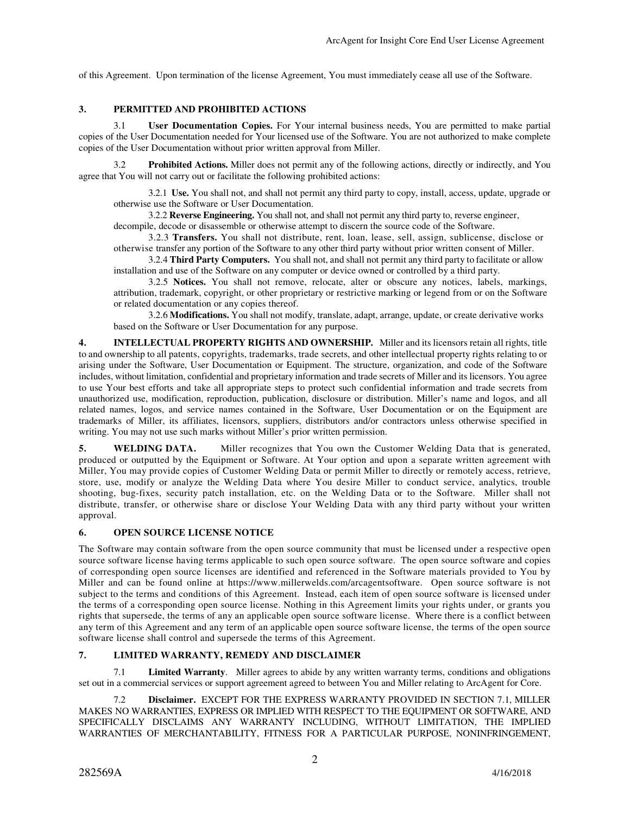of this Agreement. Upon termination of the license Agreement, You must immediately cease all use of the Software.

## **3. PERMITTED AND PROHIBITED ACTIONS**

3.1 **User Documentation Copies.** For Your internal business needs, You are permitted to make partial copies of the User Documentation needed for Your licensed use of the Software. You are not authorized to make complete copies of the User Documentation without prior written approval from Miller.

3.2 **Prohibited Actions.** Miller does not permit any of the following actions, directly or indirectly, and You agree that You will not carry out or facilitate the following prohibited actions:

3.2.1 **Use.** You shall not, and shall not permit any third party to copy, install, access, update, upgrade or otherwise use the Software or User Documentation.

3.2.2 **Reverse Engineering.** You shall not, and shall not permit any third party to, reverse engineer,

decompile, decode or disassemble or otherwise attempt to discern the source code of the Software.

3.2.3 **Transfers.** You shall not distribute, rent, loan, lease, sell, assign, sublicense, disclose or otherwise transfer any portion of the Software to any other third party without prior written consent of Miller.

3.2.4 **Third Party Computers.** You shall not, and shall not permit any third party to facilitate or allow installation and use of the Software on any computer or device owned or controlled by a third party.

3.2.5 **Notices.** You shall not remove, relocate, alter or obscure any notices, labels, markings, attribution, trademark, copyright, or other proprietary or restrictive marking or legend from or on the Software or related documentation or any copies thereof.

3.2.6 **Modifications.** You shall not modify, translate, adapt, arrange, update, or create derivative works based on the Software or User Documentation for any purpose.

**4. INTELLECTUAL PROPERTY RIGHTS AND OWNERSHIP.** Miller and its licensors retain all rights, title to and ownership to all patents, copyrights, trademarks, trade secrets, and other intellectual property rights relating to or arising under the Software, User Documentation or Equipment. The structure, organization, and code of the Software includes, without limitation, confidential and proprietary information and trade secrets of Miller and its licensors. You agree to use Your best efforts and take all appropriate steps to protect such confidential information and trade secrets from unauthorized use, modification, reproduction, publication, disclosure or distribution. Miller's name and logos, and all related names, logos, and service names contained in the Software, User Documentation or on the Equipment are trademarks of Miller, its affiliates, licensors, suppliers, distributors and/or contractors unless otherwise specified in writing. You may not use such marks without Miller's prior written permission.

**5. WELDING DATA.** Miller recognizes that You own the Customer Welding Data that is generated, produced or outputted by the Equipment or Software. At Your option and upon a separate written agreement with Miller, You may provide copies of Customer Welding Data or permit Miller to directly or remotely access, retrieve, store, use, modify or analyze the Welding Data where You desire Miller to conduct service, analytics, trouble shooting, bug-fixes, security patch installation, etc. on the Welding Data or to the Software. Miller shall not distribute, transfer, or otherwise share or disclose Your Welding Data with any third party without your written approval.

### **6. OPEN SOURCE LICENSE NOTICE**

The Software may contain software from the open source community that must be licensed under a respective open source software license having terms applicable to such open source software. The open source software and copies of corresponding open source licenses are identified and referenced in the Software materials provided to You by Miller and can be found online at https://www.millerwelds.com/arcagentsoftware. Open source software is not subject to the terms and conditions of this Agreement. Instead, each item of open source software is licensed under the terms of a corresponding open source license. Nothing in this Agreement limits your rights under, or grants you rights that supersede, the terms of any an applicable open source software license. Where there is a conflict between any term of this Agreement and any term of an applicable open source software license, the terms of the open source software license shall control and supersede the terms of this Agreement.

# **7. LIMITED WARRANTY, REMEDY AND DISCLAIMER**

 7.1 **Limited Warranty**. Miller agrees to abide by any written warranty terms, conditions and obligations set out in a commercial services or support agreement agreed to between You and Miller relating to ArcAgent for Core.

 7.2 **Disclaimer.** EXCEPT FOR THE EXPRESS WARRANTY PROVIDED IN SECTION 7.1, MILLER MAKES NO WARRANTIES, EXPRESS OR IMPLIED WITH RESPECT TO THE EQUIPMENT OR SOFTWARE, AND SPECIFICALLY DISCLAIMS ANY WARRANTY INCLUDING, WITHOUT LIMITATION, THE IMPLIED WARRANTIES OF MERCHANTABILITY, FITNESS FOR A PARTICULAR PURPOSE, NONINFRINGEMENT,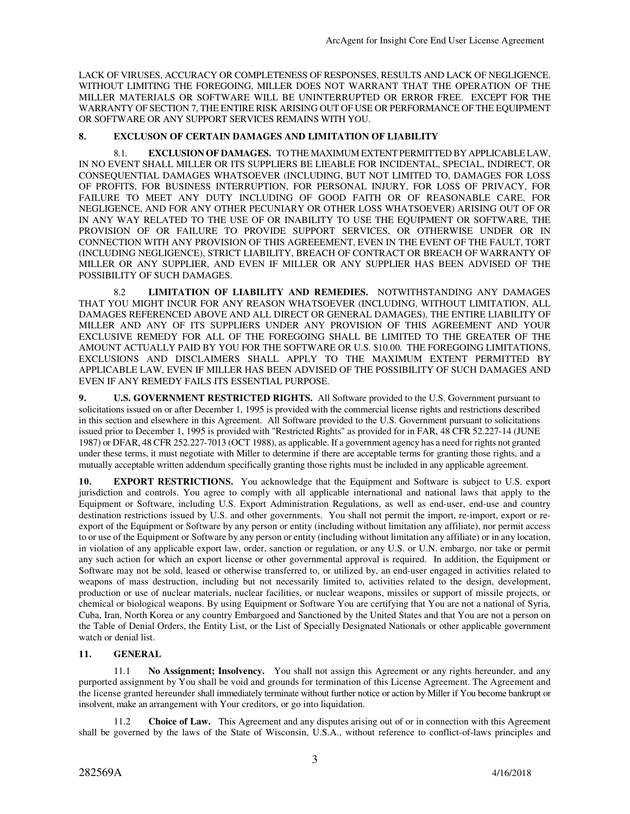LACK OF VIRUSES, ACCURACY OR COMPLETENESS OF RESPONSES, RESULTS AND LACK OF NEGLIGENCE. WITHOUT LIMITING THE FOREGOING, MILLER DOES NOT WARRANT THAT THE OPERATION OF THE MILLER MATERIALS OR SOFTWARE WILL BE UNINTERRUPTED OR ERROR FREE. EXCEPT FOR THE WARRANTY OF SECTION 7, THE ENTIRE RISK ARISING OUT OF USE OR PERFORMANCE OF THE EQUIPMENT OR SOFTWARE OR ANY SUPPORT SERVICES REMAINS WITH YOU.

## **8. EXCLUSON OF CERTAIN DAMAGES AND LIMITATION OF LIABILITY**

8.1. **EXCLUSION OF DAMAGES.** TO THE MAXIMUM EXTENT PERMITTED BY APPLICABLE LAW, IN NO EVENT SHALL MILLER OR ITS SUPPLIERS BE LIEABLE FOR INCIDENTAL, SPECIAL, INDIRECT, OR CONSEQUENTIAL DAMAGES WHATSOEVER (INCLUDING, BUT NOT LIMITED TO, DAMAGES FOR LOSS OF PROFITS, FOR BUSINESS INTERRUPTION, FOR PERSONAL INJURY, FOR LOSS OF PRIVACY, FOR FAILURE TO MEET ANY DUTY INCLUDING OF GOOD FAITH OR OF REASONABLE CARE, FOR NEGLIGENCE, AND FOR ANY OTHER PECUNIARY OR OTHER LOSS WHATSOEVER) ARISING OUT OF OR IN ANY WAY RELATED TO THE USE OF OR INABILITY TO USE THE EQUIPMENT OR SOFTWARE, THE PROVISION OF OR FAILURE TO PROVIDE SUPPORT SERVICES, OR OTHERWISE UNDER OR IN CONNECTION WITH ANY PROVISION OF THIS AGREEEMENT, EVEN IN THE EVENT OF THE FAULT, TORT (INCLUDING NEGLIGENCE), STRICT LIABILITY, BREACH OF CONTRACT OR BREACH OF WARRANTY OF MILLER OR ANY SUPPLIER, AND EVEN IF MILLER OR ANY SUPPLIER HAS BEEN ADVISED OF THE POSSIBILITY OF SUCH DAMAGES.

8.2 **LIMITATION OF LIABILITY AND REMEDIES.** NOTWITHSTANDING ANY DAMAGES THAT YOU MIGHT INCUR FOR ANY REASON WHATSOEVER (INCLUDING, WITHOUT LIMITATION, ALL DAMAGES REFERENCED ABOVE AND ALL DIRECT OR GENERAL DAMAGES), THE ENTIRE LIABILITY OF MILLER AND ANY OF ITS SUPPLIERS UNDER ANY PROVISION OF THIS AGREEMENT AND YOUR EXCLUSIVE REMEDY FOR ALL OF THE FOREGOING SHALL BE LIMITED TO THE GREATER OF THE AMOUNT ACTUALLY PAID BY YOU FOR THE SOFTWARE OR U.S. \$10.00. THE FOREGOING LIMITATIONS, EXCLUSIONS AND DISCLAIMERS SHALL APPLY TO THE MAXIMUM EXTENT PERMITTED BY APPLICABLE LAW, EVEN IF MILLER HAS BEEN ADVISED OF THE POSSIBILITY OF SUCH DAMAGES AND EVEN IF ANY REMEDY FAILS ITS ESSENTIAL PURPOSE.

**9. U.S. GOVERNMENT RESTRICTED RIGHTS.** All Software provided to the U.S. Government pursuant to solicitations issued on or after December 1, 1995 is provided with the commercial license rights and restrictions described in this section and elsewhere in this Agreement. All Software provided to the U.S. Government pursuant to solicitations issued prior to December 1, 1995 is provided with "Restricted Rights" as provided for in FAR, 48 CFR 52.227-14 (JUNE 1987) or DFAR, 48 CFR 252.227-7013 (OCT 1988), as applicable. If a government agency has a need for rights not granted under these terms, it must negotiate with Miller to determine if there are acceptable terms for granting those rights, and a mutually acceptable written addendum specifically granting those rights must be included in any applicable agreement.

**10. EXPORT RESTRICTIONS.** You acknowledge that the Equipment and Software is subject to U.S. export jurisdiction and controls. You agree to comply with all applicable international and national laws that apply to the Equipment or Software, including U.S. Export Administration Regulations, as well as end-user, end-use and country destination restrictions issued by U.S. and other governments. You shall not permit the import, re-import, export or reexport of the Equipment or Software by any person or entity (including without limitation any affiliate), nor permit access to or use of the Equipment or Software by any person or entity (including without limitation any affiliate) or in any location, in violation of any applicable export law, order, sanction or regulation, or any U.S. or U.N. embargo, nor take or permit any such action for which an export license or other governmental approval is required. In addition, the Equipment or Software may not be sold, leased or otherwise transferred to, or utilized by, an end-user engaged in activities related to weapons of mass destruction, including but not necessarily limited to, activities related to the design, development, production or use of nuclear materials, nuclear facilities, or nuclear weapons, missiles or support of missile projects, or chemical or biological weapons. By using Equipment or Software You are certifying that You are not a national of Syria, Cuba, Iran, North Korea or any country Embargoed and Sanctioned by the United States and that You are not a person on the Table of Denial Orders, the Entity List, or the List of Specially Designated Nationals or other applicable government watch or denial list.

#### **11. GENERAL**

 11.1 **No Assignment; Insolvency.** You shall not assign this Agreement or any rights hereunder, and any purported assignment by You shall be void and grounds for termination of this License Agreement. The Agreement and the license granted hereunder shall immediately terminate without further notice or action by Miller if You become bankrupt or insolvent, make an arrangement with Your creditors, or go into liquidation.

 11.2 **Choice of Law.** This Agreement and any disputes arising out of or in connection with this Agreement shall be governed by the laws of the State of Wisconsin, U.S.A., without reference to conflict-of-laws principles and